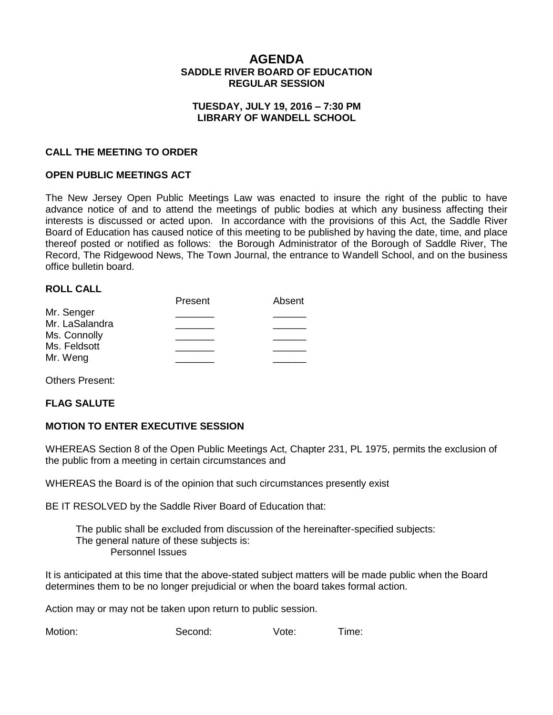# **AGENDA SADDLE RIVER BOARD OF EDUCATION REGULAR SESSION**

## **TUESDAY, JULY 19, 2016 – 7:30 PM LIBRARY OF WANDELL SCHOOL**

## **CALL THE MEETING TO ORDER**

## **OPEN PUBLIC MEETINGS ACT**

The New Jersey Open Public Meetings Law was enacted to insure the right of the public to have advance notice of and to attend the meetings of public bodies at which any business affecting their interests is discussed or acted upon. In accordance with the provisions of this Act, the Saddle River Board of Education has caused notice of this meeting to be published by having the date, time, and place thereof posted or notified as follows: the Borough Administrator of the Borough of Saddle River, The Record, The Ridgewood News, The Town Journal, the entrance to Wandell School, and on the business office bulletin board.

#### **ROLL CALL**

|                | Present | Absent |
|----------------|---------|--------|
| Mr. Senger     |         |        |
| Mr. LaSalandra |         |        |
| Ms. Connolly   |         |        |
| Ms. Feldsott   |         |        |
| Mr. Weng       |         |        |
|                |         |        |

Others Present:

#### **FLAG SALUTE**

#### **MOTION TO ENTER EXECUTIVE SESSION**

WHEREAS Section 8 of the Open Public Meetings Act, Chapter 231, PL 1975, permits the exclusion of the public from a meeting in certain circumstances and

WHEREAS the Board is of the opinion that such circumstances presently exist

BE IT RESOLVED by the Saddle River Board of Education that:

 The public shall be excluded from discussion of the hereinafter-specified subjects: The general nature of these subjects is: Personnel Issues

It is anticipated at this time that the above-stated subject matters will be made public when the Board determines them to be no longer prejudicial or when the board takes formal action.

Action may or may not be taken upon return to public session.

Motion: Second: Vote: Time: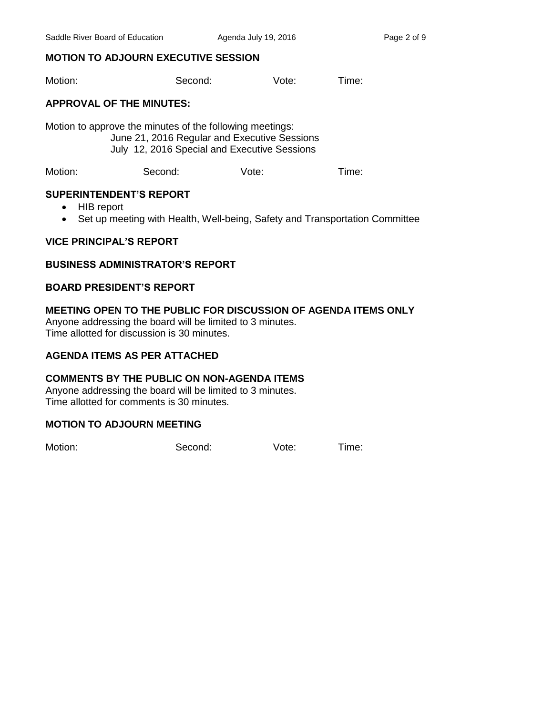# **MOTION TO ADJOURN EXECUTIVE SESSION**

Motion: Second: Vote: Time:

## **APPROVAL OF THE MINUTES:**

Motion to approve the minutes of the following meetings: June 21, 2016 Regular and Executive Sessions July 12, 2016 Special and Executive Sessions

Motion: Second: Vote: Time:

## **SUPERINTENDENT'S REPORT**

- HIB report
- Set up meeting with Health, Well-being, Safety and Transportation Committee

## **VICE PRINCIPAL'S REPORT**

## **BUSINESS ADMINISTRATOR'S REPORT**

## **BOARD PRESIDENT'S REPORT**

# **MEETING OPEN TO THE PUBLIC FOR DISCUSSION OF AGENDA ITEMS ONLY**

Anyone addressing the board will be limited to 3 minutes. Time allotted for discussion is 30 minutes.

#### **AGENDA ITEMS AS PER ATTACHED**

#### **COMMENTS BY THE PUBLIC ON NON-AGENDA ITEMS**

Anyone addressing the board will be limited to 3 minutes. Time allotted for comments is 30 minutes.

#### **MOTION TO ADJOURN MEETING**

Motion: Second: Vote: Time: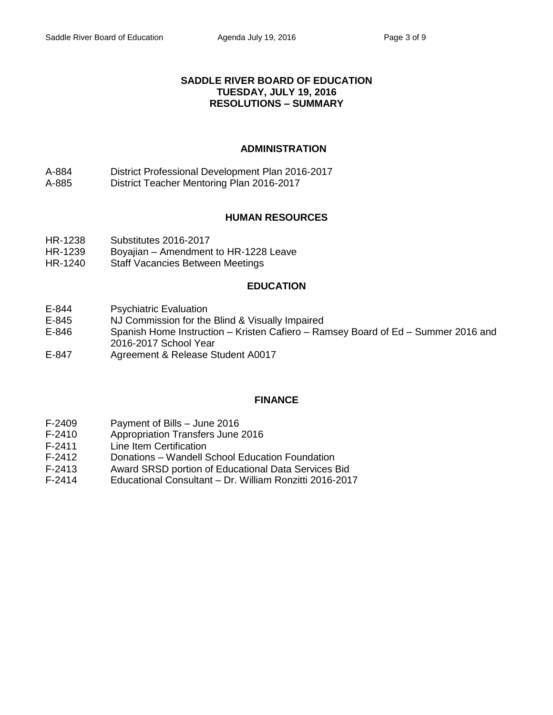## **SADDLE RIVER BOARD OF EDUCATION TUESDAY, JULY 19, 2016 RESOLUTIONS – SUMMARY**

# **ADMINISTRATION**

- A-884 District Professional Development Plan 2016-2017
- A-885 District Teacher Mentoring Plan 2016-2017

# **HUMAN RESOURCES**

- HR-1238 Substitutes 2016-2017
- HR-1239 Boyajian Amendment to HR-1228 Leave
- HR-1240 Staff Vacancies Between Meetings

# **EDUCATION**

- E-844 Psychiatric Evaluation
- E-845 NJ Commission for the Blind & Visually Impaired
- E-846 Spanish Home Instruction Kristen Cafiero Ramsey Board of Ed Summer 2016 and 2016-2017 School Year
- E-847 Agreement & Release Student A0017

# **FINANCE**

- F-2409 Payment of Bills June 2016
- F-2410 Appropriation Transfers June 2016
- F-2411 Line Item Certification
- F-2412 Donations Wandell School Education Foundation
- F-2413 Award SRSD portion of Educational Data Services Bid
- F-2414 Educational Consultant Dr. William Ronzitti 2016-2017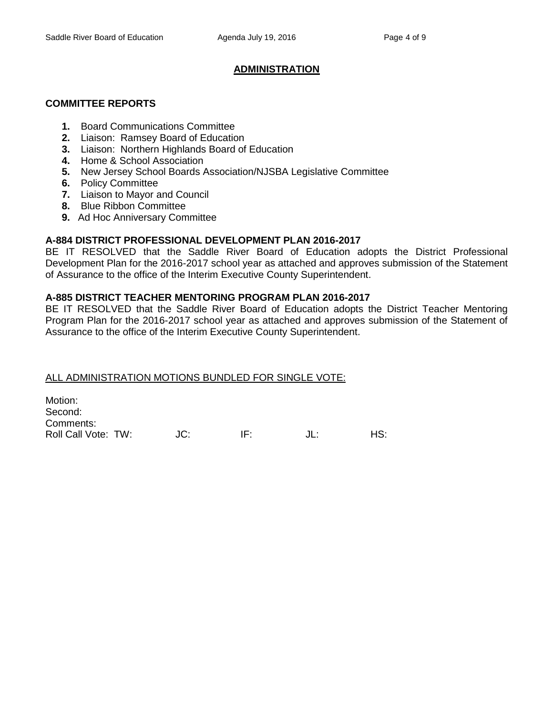## **ADMINISTRATION**

#### **COMMITTEE REPORTS**

- **1.** Board Communications Committee
- **2.** Liaison: Ramsey Board of Education
- **3.** Liaison: Northern Highlands Board of Education
- **4.** Home & School Association
- **5.** New Jersey School Boards Association/NJSBA Legislative Committee
- **6.** Policy Committee
- **7.** Liaison to Mayor and Council
- **8.** Blue Ribbon Committee
- **9.** Ad Hoc Anniversary Committee

## **A-884 DISTRICT PROFESSIONAL DEVELOPMENT PLAN 2016-2017**

BE IT RESOLVED that the Saddle River Board of Education adopts the District Professional Development Plan for the 2016-2017 school year as attached and approves submission of the Statement of Assurance to the office of the Interim Executive County Superintendent.

## **A-885 DISTRICT TEACHER MENTORING PROGRAM PLAN 2016-2017**

BE IT RESOLVED that the Saddle River Board of Education adopts the District Teacher Mentoring Program Plan for the 2016-2017 school year as attached and approves submission of the Statement of Assurance to the office of the Interim Executive County Superintendent.

# ALL ADMINISTRATION MOTIONS BUNDLED FOR SINGLE VOTE:

Motion: Second: Comments: Roll Call Vote: TW:  $J = J$  JC: IF:  $J = J$  JL: HS: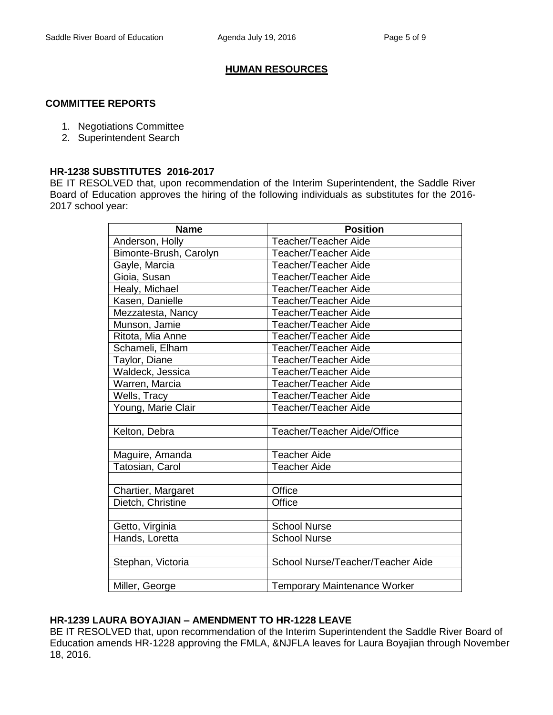## **HUMAN RESOURCES**

#### **COMMITTEE REPORTS**

- 1. Negotiations Committee
- 2. Superintendent Search

#### **HR-1238 SUBSTITUTES 2016-2017**

BE IT RESOLVED that, upon recommendation of the Interim Superintendent, the Saddle River Board of Education approves the hiring of the following individuals as substitutes for the 2016- 2017 school year:

| <b>Name</b>            | <b>Position</b>                     |  |
|------------------------|-------------------------------------|--|
| Anderson, Holly        | Teacher/Teacher Aide                |  |
| Bimonte-Brush, Carolyn | Teacher/Teacher Aide                |  |
| Gayle, Marcia          | Teacher/Teacher Aide                |  |
| Gioia, Susan           | Teacher/Teacher Aide                |  |
| Healy, Michael         | Teacher/Teacher Aide                |  |
| Kasen, Danielle        | Teacher/Teacher Aide                |  |
| Mezzatesta, Nancy      | Teacher/Teacher Aide                |  |
| Munson, Jamie          | Teacher/Teacher Aide                |  |
| Ritota, Mia Anne       | <b>Teacher/Teacher Aide</b>         |  |
| Schameli, Elham        | Teacher/Teacher Aide                |  |
| Taylor, Diane          | Teacher/Teacher Aide                |  |
| Waldeck, Jessica       | Teacher/Teacher Aide                |  |
| Warren, Marcia         | Teacher/Teacher Aide                |  |
| Wells, Tracy           | Teacher/Teacher Aide                |  |
| Young, Marie Clair     | Teacher/Teacher Aide                |  |
|                        |                                     |  |
| Kelton, Debra          | Teacher/Teacher Aide/Office         |  |
|                        |                                     |  |
| Maguire, Amanda        | <b>Teacher Aide</b>                 |  |
| Tatosian, Carol        | <b>Teacher Aide</b>                 |  |
|                        |                                     |  |
| Chartier, Margaret     | Office                              |  |
| Dietch, Christine      | Office                              |  |
|                        |                                     |  |
| Getto, Virginia        | <b>School Nurse</b>                 |  |
| Hands, Loretta         | <b>School Nurse</b>                 |  |
|                        |                                     |  |
| Stephan, Victoria      | School Nurse/Teacher/Teacher Aide   |  |
|                        |                                     |  |
| Miller, George         | <b>Temporary Maintenance Worker</b> |  |

#### **HR-1239 LAURA BOYAJIAN – AMENDMENT TO HR-1228 LEAVE**

BE IT RESOLVED that, upon recommendation of the Interim Superintendent the Saddle River Board of Education amends HR-1228 approving the FMLA, &NJFLA leaves for Laura Boyajian through November 18, 2016.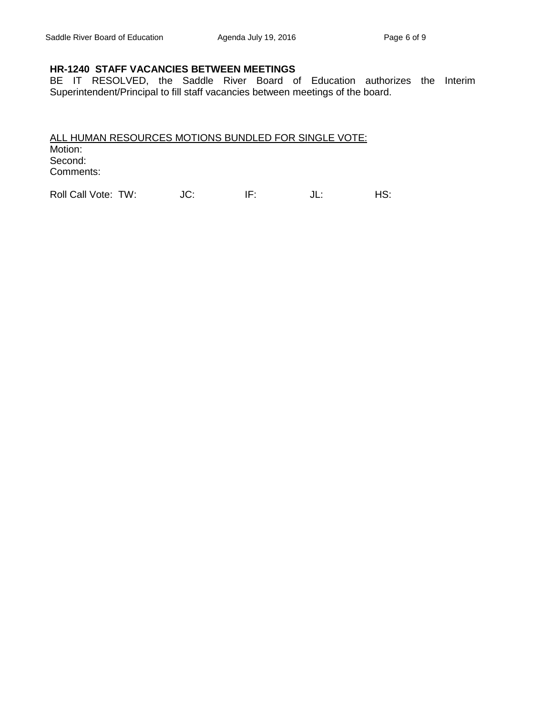## **HR-1240 STAFF VACANCIES BETWEEN MEETINGS**

BE IT RESOLVED, the Saddle River Board of Education authorizes the Interim Superintendent/Principal to fill staff vacancies between meetings of the board.

ALL HUMAN RESOURCES MOTIONS BUNDLED FOR SINGLE VOTE: Motion: Second: Comments:

Roll Call Vote: TW: JC: IF: JL: HS: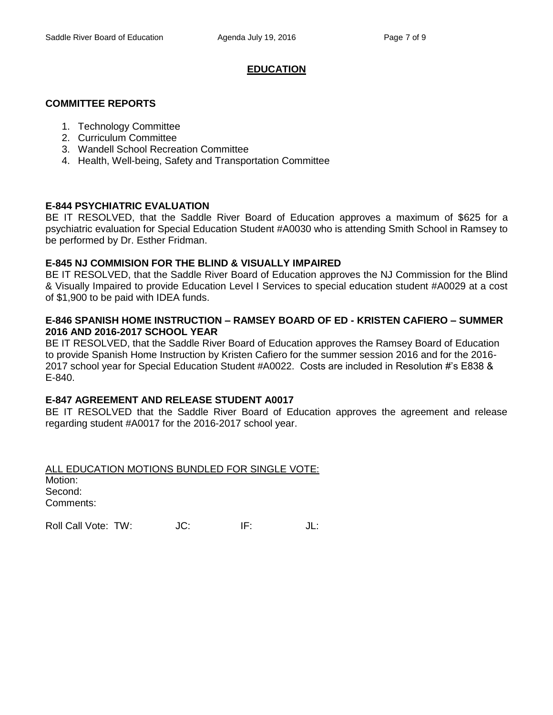## **EDUCATION**

#### **COMMITTEE REPORTS**

- 1. Technology Committee
- 2. Curriculum Committee
- 3. Wandell School Recreation Committee
- 4. Health, Well-being, Safety and Transportation Committee

## **E-844 PSYCHIATRIC EVALUATION**

BE IT RESOLVED, that the Saddle River Board of Education approves a maximum of \$625 for a psychiatric evaluation for Special Education Student #A0030 who is attending Smith School in Ramsey to be performed by Dr. Esther Fridman.

## **E-845 NJ COMMISION FOR THE BLIND & VISUALLY IMPAIRED**

BE IT RESOLVED, that the Saddle River Board of Education approves the NJ Commission for the Blind & Visually Impaired to provide Education Level I Services to special education student #A0029 at a cost of \$1,900 to be paid with IDEA funds.

## **E-846 SPANISH HOME INSTRUCTION – RAMSEY BOARD OF ED - KRISTEN CAFIERO – SUMMER 2016 AND 2016-2017 SCHOOL YEAR**

BE IT RESOLVED, that the Saddle River Board of Education approves the Ramsey Board of Education to provide Spanish Home Instruction by Kristen Cafiero for the summer session 2016 and for the 2016- 2017 school year for Special Education Student #A0022. Costs are included in Resolution #'s E838 & E-840.

# **E-847 AGREEMENT AND RELEASE STUDENT A0017**

BE IT RESOLVED that the Saddle River Board of Education approves the agreement and release regarding student #A0017 for the 2016-2017 school year.

ALL EDUCATION MOTIONS BUNDLED FOR SINGLE VOTE: Motion: Second: Comments:

Roll Call Vote: TW: JC: IF: JL: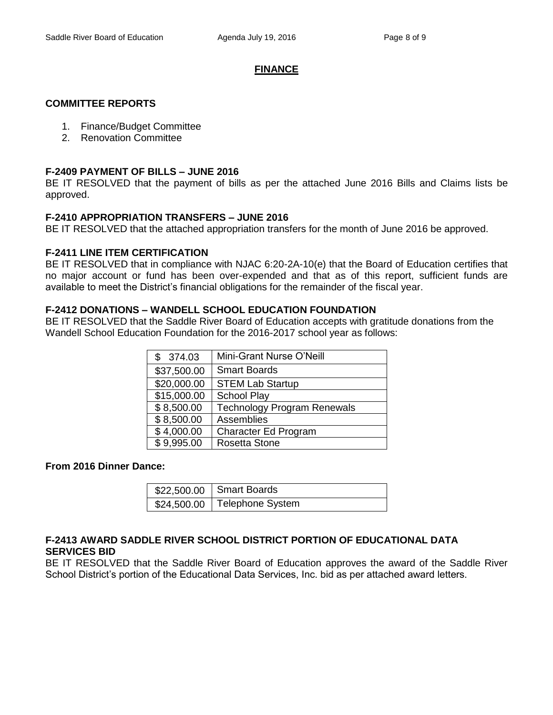## **FINANCE**

#### **COMMITTEE REPORTS**

- 1. Finance/Budget Committee
- 2. Renovation Committee

#### **F-2409 PAYMENT OF BILLS – JUNE 2016**

BE IT RESOLVED that the payment of bills as per the attached June 2016 Bills and Claims lists be approved.

## **F-2410 APPROPRIATION TRANSFERS – JUNE 2016**

BE IT RESOLVED that the attached appropriation transfers for the month of June 2016 be approved.

# **F-2411 LINE ITEM CERTIFICATION**

BE IT RESOLVED that in compliance with NJAC 6:20-2A-10(e) that the Board of Education certifies that no major account or fund has been over-expended and that as of this report, sufficient funds are available to meet the District's financial obligations for the remainder of the fiscal year.

## **F-2412 DONATIONS – WANDELL SCHOOL EDUCATION FOUNDATION**

BE IT RESOLVED that the Saddle River Board of Education accepts with gratitude donations from the Wandell School Education Foundation for the 2016-2017 school year as follows:

| \$374.03    | Mini-Grant Nurse O'Neill           |
|-------------|------------------------------------|
| \$37,500.00 | <b>Smart Boards</b>                |
| \$20,000.00 | <b>STEM Lab Startup</b>            |
| \$15,000.00 | <b>School Play</b>                 |
| \$8,500.00  | <b>Technology Program Renewals</b> |
| \$8,500.00  | Assemblies                         |
| \$4,000.00  | Character Ed Program               |
| \$9,995.00  | <b>Rosetta Stone</b>               |

#### **From 2016 Dinner Dance:**

| \$22,500.00   Smart Boards     |
|--------------------------------|
| \$24,500.00   Telephone System |

## **F-2413 AWARD SADDLE RIVER SCHOOL DISTRICT PORTION OF EDUCATIONAL DATA SERVICES BID**

BE IT RESOLVED that the Saddle River Board of Education approves the award of the Saddle River School District's portion of the Educational Data Services, Inc. bid as per attached award letters.